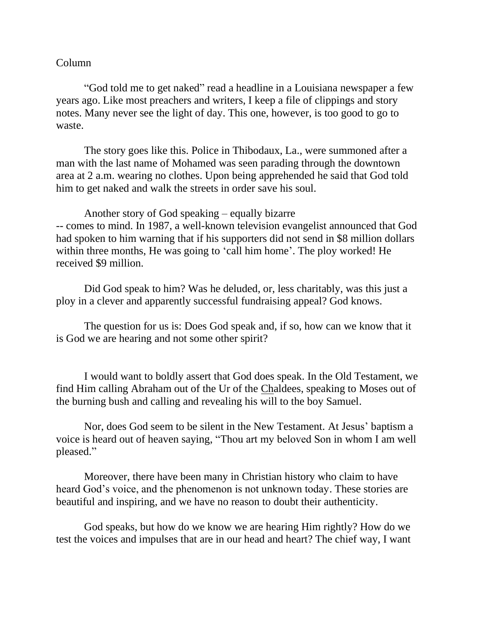## Column

"God told me to get naked" read a headline in a Louisiana newspaper a few years ago. Like most preachers and writers, I keep a file of clippings and story notes. Many never see the light of day. This one, however, is too good to go to waste.

The story goes like this. Police in Thibodaux, La., were summoned after a man with the last name of Mohamed was seen parading through the downtown area at 2 a.m. wearing no clothes. Upon being apprehended he said that God told him to get naked and walk the streets in order save his soul.

Another story of God speaking – equally bizarre -- comes to mind. In 1987, a well-known television evangelist announced that God had spoken to him warning that if his supporters did not send in \$8 million dollars within three months, He was going to 'call him home'. The ploy worked! He received \$9 million.

Did God speak to him? Was he deluded, or, less charitably, was this just a ploy in a clever and apparently successful fundraising appeal? God knows.

The question for us is: Does God speak and, if so, how can we know that it is God we are hearing and not some other spirit?

I would want to boldly assert that God does speak. In the Old Testament, we find Him calling Abraham out of the Ur of the Chaldees, speaking to Moses out of the burning bush and calling and revealing his will to the boy Samuel.

Nor, does God seem to be silent in the New Testament. At Jesus' baptism a voice is heard out of heaven saying, "Thou art my beloved Son in whom I am well pleased."

Moreover, there have been many in Christian history who claim to have heard God's voice, and the phenomenon is not unknown today. These stories are beautiful and inspiring, and we have no reason to doubt their authenticity.

God speaks, but how do we know we are hearing Him rightly? How do we test the voices and impulses that are in our head and heart? The chief way, I want